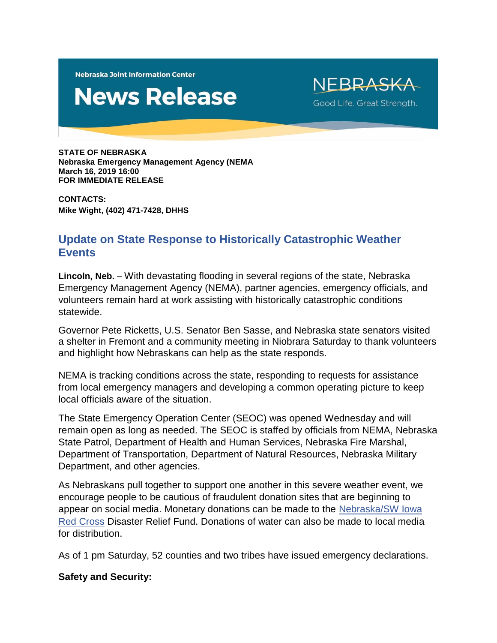**Nebraska Joint Information Center** 

## **News Release**

NFBRASKA Good Life. Great Strength.

**STATE OF NEBRASKA Nebraska Emergency Management Agency (NEMA March 16, 2019 16:00 FOR IMMEDIATE RELEASE**

**CONTACTS: Mike Wight, (402) 471-7428, DHHS**

## **Update on State Response to Historically Catastrophic Weather Events**

**Lincoln, Neb.** – With devastating flooding in several regions of the state, Nebraska Emergency Management Agency (NEMA), partner agencies, emergency officials, and volunteers remain hard at work assisting with historically catastrophic conditions statewide.

Governor Pete Ricketts, U.S. Senator Ben Sasse, and Nebraska state senators visited a shelter in Fremont and a community meeting in Niobrara Saturday to thank volunteers and highlight how Nebraskans can help as the state responds.

NEMA is tracking conditions across the state, responding to requests for assistance from local emergency managers and developing a common operating picture to keep local officials aware of the situation.

The State Emergency Operation Center (SEOC) was opened Wednesday and will remain open as long as needed. The SEOC is staffed by officials from NEMA, Nebraska State Patrol, Department of Health and Human Services, Nebraska Fire Marshal, Department of Transportation, Department of Natural Resources, Nebraska Military Department, and other agencies.

As Nebraskans pull together to support one another in this severe weather event, we encourage people to be cautious of fraudulent donation sites that are beginning to appear on social media. Monetary donations can be made to the [Nebraska/SW Iowa](https://mail.nebraska.gov/owa/redir.aspx?C=LMFe379-3s2lwBLio60VffZygXyIu6qEkm9Qt8gqf_3BDp6gJarWCA..&URL=https%3a%2f%2fwww.facebook.com%2fNEIARedCross%2f%3f__tn__%3dK-R%26eid%3dARAZOGnJszHVahX1BiYdqtcAXMgrlS1W3fuCKG2yg_bTT6HlrZtHzo_lJnqZaWbi8x2hCQHrQx8Quw38%26fref%3dmentions%26__xts__%255B0%255D%3d68.ARAkJsMH6Von_rbejADhh40ysQHEh6upv09Y1fIX69S--bW_kuDpvZjA8U6pYxsCVwHKsnITmAe2QLE8GROBgMLa2OPhIMdDlfMLoeuLdIZSMBYprePZbAWRZObWuJNZZzW-j3_gZKzYI_Svh7VblxGouKcNCkvf3sotofZsWJAoG_x_i2YB2gsWm86ue5JM--mLlmMAwVMD9yuQG0Q22VkPgMfM4BqYSY7sGop8g-FYHrZiRGdN-tBEk_Ntzjs5DsMCdh5IGfoBfX2m824nN9vIUBkaXiuj_i-K8TGLvIHDVVh90OQ198CaL3uaj0qibfdy7bCNBca4fZquRqHp-w)  [Red Cross](https://mail.nebraska.gov/owa/redir.aspx?C=LMFe379-3s2lwBLio60VffZygXyIu6qEkm9Qt8gqf_3BDp6gJarWCA..&URL=https%3a%2f%2fwww.facebook.com%2fNEIARedCross%2f%3f__tn__%3dK-R%26eid%3dARAZOGnJszHVahX1BiYdqtcAXMgrlS1W3fuCKG2yg_bTT6HlrZtHzo_lJnqZaWbi8x2hCQHrQx8Quw38%26fref%3dmentions%26__xts__%255B0%255D%3d68.ARAkJsMH6Von_rbejADhh40ysQHEh6upv09Y1fIX69S--bW_kuDpvZjA8U6pYxsCVwHKsnITmAe2QLE8GROBgMLa2OPhIMdDlfMLoeuLdIZSMBYprePZbAWRZObWuJNZZzW-j3_gZKzYI_Svh7VblxGouKcNCkvf3sotofZsWJAoG_x_i2YB2gsWm86ue5JM--mLlmMAwVMD9yuQG0Q22VkPgMfM4BqYSY7sGop8g-FYHrZiRGdN-tBEk_Ntzjs5DsMCdh5IGfoBfX2m824nN9vIUBkaXiuj_i-K8TGLvIHDVVh90OQ198CaL3uaj0qibfdy7bCNBca4fZquRqHp-w) Disaster Relief Fund. Donations of water can also be made to local media for distribution.

As of 1 pm Saturday, 52 counties and two tribes have issued emergency declarations.

## **Safety and Security:**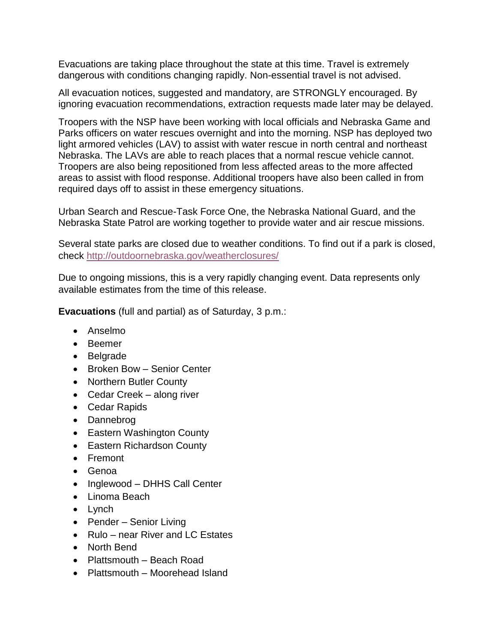Evacuations are taking place throughout the state at this time. Travel is extremely dangerous with conditions changing rapidly. Non-essential travel is not advised.

All evacuation notices, suggested and mandatory, are STRONGLY encouraged. By ignoring evacuation recommendations, extraction requests made later may be delayed.

Troopers with the NSP have been working with local officials and Nebraska Game and Parks officers on water rescues overnight and into the morning. NSP has deployed two light armored vehicles (LAV) to assist with water rescue in north central and northeast Nebraska. The LAVs are able to reach places that a normal rescue vehicle cannot. Troopers are also being repositioned from less affected areas to the more affected areas to assist with flood response. Additional troopers have also been called in from required days off to assist in these emergency situations.

Urban Search and Rescue-Task Force One, the Nebraska National Guard, and the Nebraska State Patrol are working together to provide water and air rescue missions.

Several state parks are closed due to weather conditions. To find out if a park is closed, check [http://outdoornebraska.gov/weatherclosures/](https://mail.nebraska.gov/owa/redir.aspx?C=kwpbMtZAEcT_cLcQmijuThlSnNRcs3xzr7CxNimNYZQbcaCgJarWCA..&URL=http%3a%2f%2foutdoornebraska.gov%2fweatherclosures%2f)

Due to ongoing missions, this is a very rapidly changing event. Data represents only available estimates from the time of this release.

**Evacuations** (full and partial) as of Saturday, 3 p.m.:

- Anselmo
- Beemer
- Belgrade
- Broken Bow Senior Center
- Northern Butler County
- Cedar Creek along river
- Cedar Rapids
- Dannebrog
- Eastern Washington County
- Eastern Richardson County
- Fremont
- Genoa
- Inglewood DHHS Call Center
- Linoma Beach
- Lynch
- $\bullet$  Pender Senior Living
- Rulo near River and LC Estates
- North Bend
- Plattsmouth Beach Road
- Plattsmouth Moorehead Island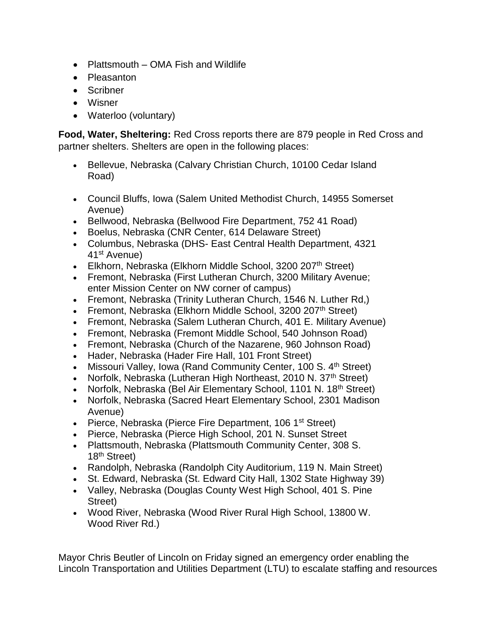- Plattsmouth OMA Fish and Wildlife
- Pleasanton
- Scribner
- Wisner
- Waterloo (voluntary)

**Food, Water, Sheltering:** Red Cross reports there are 879 people in Red Cross and partner shelters. Shelters are open in the following places:

- Bellevue, Nebraska (Calvary Christian Church, 10100 Cedar Island Road)
- Council Bluffs, Iowa (Salem United Methodist Church, 14955 Somerset Avenue)
- Bellwood, Nebraska (Bellwood Fire Department, 752 41 Road)
- Boelus, Nebraska (CNR Center, 614 Delaware Street)
- Columbus, Nebraska (DHS- East Central Health Department, 4321 41st Avenue)
- Elkhorn, Nebraska (Elkhorn Middle School, 3200 207<sup>th</sup> Street)
- Fremont, Nebraska (First Lutheran Church, 3200 Military Avenue; enter Mission Center on NW corner of campus)
- Fremont, Nebraska (Trinity Lutheran Church, 1546 N. Luther Rd.)
- Fremont, Nebraska (Elkhorn Middle School, 3200 207<sup>th</sup> Street)
- Fremont, Nebraska (Salem Lutheran Church, 401 E. Military Avenue)
- Fremont, Nebraska (Fremont Middle School, 540 Johnson Road)
- Fremont, Nebraska (Church of the Nazarene, 960 Johnson Road)
- Hader, Nebraska (Hader Fire Hall, 101 Front Street)
- Missouri Valley, Iowa (Rand Community Center, 100 S. 4<sup>th</sup> Street)
- Norfolk, Nebraska (Lutheran High Northeast, 2010 N. 37<sup>th</sup> Street)
- Norfolk, Nebraska (Bel Air Elementary School, 1101 N. 18<sup>th</sup> Street)
- Norfolk, Nebraska (Sacred Heart Elementary School, 2301 Madison Avenue)
- Pierce, Nebraska (Pierce Fire Department, 106 1<sup>st</sup> Street)
- Pierce, Nebraska (Pierce High School, 201 N. Sunset Street
- Plattsmouth, Nebraska (Plattsmouth Community Center, 308 S. 18th Street)
- Randolph, Nebraska (Randolph City Auditorium, 119 N. Main Street)
- St. Edward, Nebraska (St. Edward City Hall, 1302 State Highway 39)
- Valley, Nebraska (Douglas County West High School, 401 S. Pine Street)
- Wood River, Nebraska (Wood River Rural High School, 13800 W. Wood River Rd.)

Mayor Chris Beutler of Lincoln on Friday signed an emergency order enabling the Lincoln Transportation and Utilities Department (LTU) to escalate staffing and resources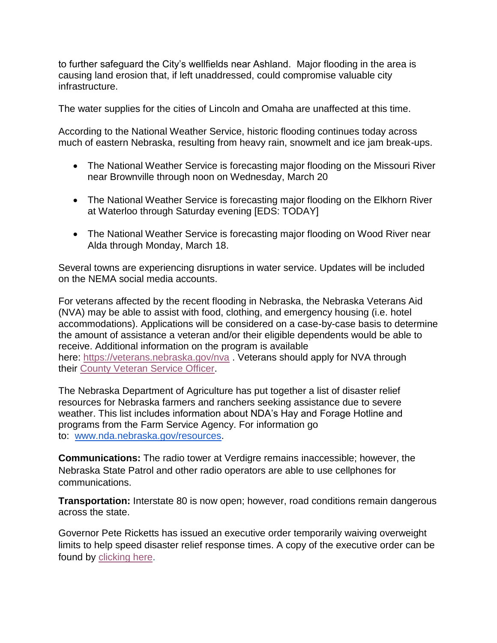to further safeguard the City's wellfields near Ashland. Major flooding in the area is causing land erosion that, if left unaddressed, could compromise valuable city infrastructure.

The water supplies for the cities of Lincoln and Omaha are unaffected at this time.

According to the National Weather Service, historic flooding continues today across much of eastern Nebraska, resulting from heavy rain, snowmelt and ice jam break-ups.

- The National Weather Service is forecasting major flooding on the Missouri River near Brownville through noon on Wednesday, March 20
- The National Weather Service is forecasting major flooding on the Elkhorn River at Waterloo through Saturday evening [EDS: TODAY]
- The National Weather Service is forecasting major flooding on Wood River near Alda through Monday, March 18.

Several towns are experiencing disruptions in water service. Updates will be included on the NEMA social media accounts.

For veterans affected by the recent flooding in Nebraska, the Nebraska Veterans Aid (NVA) may be able to assist with food, clothing, and emergency housing (i.e. hotel accommodations). Applications will be considered on a case-by-case basis to determine the amount of assistance a veteran and/or their eligible dependents would be able to receive. Additional information on the program is available here: [https://veterans.nebraska.gov/nva](https://mail.nebraska.gov/owa/redir.aspx?C=EZUeshvIHVtIQmJnj6Zj7jo6fkyE_XdntN55B9ZKr2AbcaCgJarWCA..&URL=https%3a%2f%2fveterans.nebraska.gov%2fnva) . Veterans should apply for NVA through their [County Veteran Service Officer.](https://mail.nebraska.gov/owa/redir.aspx?C=f2Lz-YQ1Ot66_K-WFpjczZPMZZ5bX2BnvB-e78OiOMcbcaCgJarWCA..&URL=https%3a%2f%2fveterans.nebraska.gov%2fcvso)

The Nebraska Department of Agriculture has put together a list of disaster relief resources for Nebraska farmers and ranchers seeking assistance due to severe weather. This list includes information about NDA's Hay and Forage Hotline and programs from the Farm Service Agency. For information go to: [www.nda.nebraska.gov/resources.](https://mail.nebraska.gov/owa/redir.aspx?C=WNRb85gQsWqB0Cx8zb4G_ssMh19lBF71AnCHRcv4S4obcaCgJarWCA..&URL=http%3a%2f%2fwww.nda.nebraska.gov%2fresources)

**Communications:** The radio tower at Verdigre remains inaccessible; however, the Nebraska State Patrol and other radio operators are able to use cellphones for communications.

**Transportation:** Interstate 80 is now open; however, road conditions remain dangerous across the state.

Governor Pete Ricketts has issued an executive order temporarily waiving overweight limits to help speed disaster relief response times. A copy of the executive order can be found by [clicking here.](https://mail.nebraska.gov/owa/redir.aspx?C=f9xsMjq71uM80dtOdmvRitysPSyt267jUsLSr5UQFGwbcaCgJarWCA..&URL=https%3a%2f%2fwww.dropbox.com%2fs%2flq0il3wlcx4cnvs%2fEO%252019-02.pdf%3fdl%3d0)